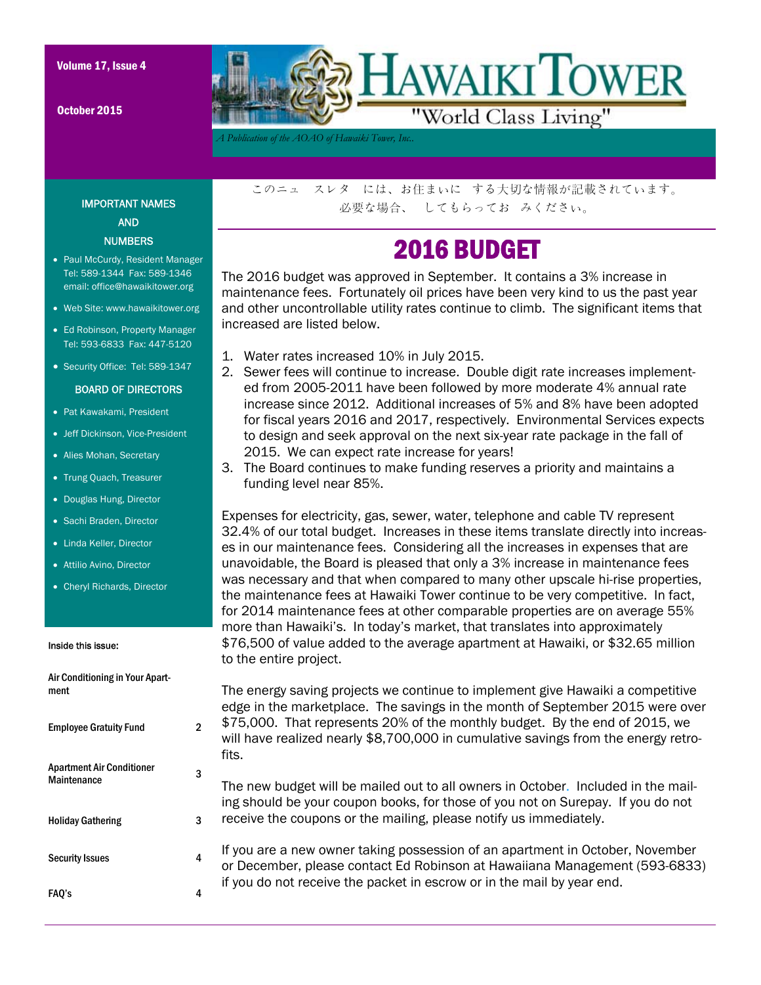October 2015



*A Publication of the AOAO of Hawaiki Tower, Inc..* 

IMPORTANT NAMES AND **NUMBERS** 

- Paul McCurdy, Resident Manager Tel: 589-1344 Fax: 589-1346 email: office@hawaikitower.org
- Web Site: www.hawaikitower.org
- Ed Robinson, Property Manager Tel: 593-6833 Fax: 447-5120
- Security Office: Tel: 589-1347

### BOARD OF DIRECTORS

- Pat Kawakami, President
- Jeff Dickinson, Vice-President
- Alies Mohan, Secretary
- Trung Quach, Treasurer
- Douglas Hung, Director
- Sachi Braden, Director
- Linda Keller, Director
- Attilio Avino, Director
- Cheryl Richards, Director

#### Inside this issue:

| Air Conditioning in Your Apart-<br>ment         |   |
|-------------------------------------------------|---|
| <b>Employee Gratuity Fund</b>                   | 2 |
| <b>Apartment Air Conditioner</b><br>Maintenance |   |
| <b>Holiday Gathering</b>                        | 3 |
| <b>Security Issues</b>                          | 4 |
| FAQ's                                           |   |

このニュ スレタ には、お住まいに する大切な情報が記載されています。 必要な場合、 してもらってお みください。

## 2016 BUDGET

The 2016 budget was approved in September. It contains a 3% increase in maintenance fees. Fortunately oil prices have been very kind to us the past year and other uncontrollable utility rates continue to climb. The significant items that increased are listed below.

- 1. Water rates increased 10% in July 2015.
- 2. Sewer fees will continue to increase. Double digit rate increases implemented from 2005-2011 have been followed by more moderate 4% annual rate increase since 2012. Additional increases of 5% and 8% have been adopted for fiscal years 2016 and 2017, respectively. Environmental Services expects to design and seek approval on the next six-year rate package in the fall of 2015. We can expect rate increase for years!
- 3. The Board continues to make funding reserves a priority and maintains a funding level near 85%.

Expenses for electricity, gas, sewer, water, telephone and cable TV represent 32.4% of our total budget. Increases in these items translate directly into increases in our maintenance fees. Considering all the increases in expenses that are unavoidable, the Board is pleased that only a 3% increase in maintenance fees was necessary and that when compared to many other upscale hi-rise properties, the maintenance fees at Hawaiki Tower continue to be very competitive. In fact, for 2014 maintenance fees at other comparable properties are on average 55% more than Hawaiki's. In today's market, that translates into approximately \$76,500 of value added to the average apartment at Hawaiki, or \$32.65 million to the entire project.

The energy saving projects we continue to implement give Hawaiki a competitive edge in the marketplace. The savings in the month of September 2015 were over \$75,000. That represents 20% of the monthly budget. By the end of 2015, we will have realized nearly \$8,700,000 in cumulative savings from the energy retrofits.

The new budget will be mailed out to all owners in October. Included in the mailing should be your coupon books, for those of you not on Surepay. If you do not receive the coupons or the mailing, please notify us immediately.

If you are a new owner taking possession of an apartment in October, November or December, please contact Ed Robinson at Hawaiiana Management (593-6833) if you do not receive the packet in escrow or in the mail by year end.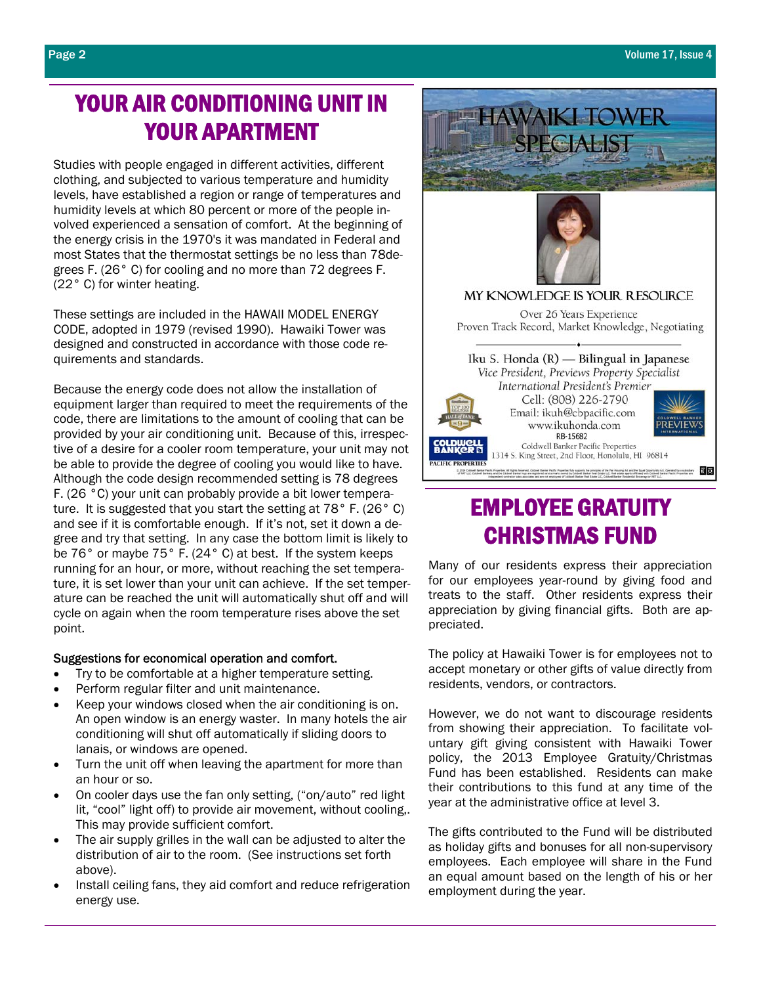## YOUR AIR CONDITIONING UNIT IN YOUR APARTMENT

Studies with people engaged in different activities, different clothing, and subjected to various temperature and humidity levels, have established a region or range of temperatures and humidity levels at which 80 percent or more of the people involved experienced a sensation of comfort. At the beginning of the energy crisis in the 1970's it was mandated in Federal and most States that the thermostat settings be no less than 78degrees F. (26° C) for cooling and no more than 72 degrees F. (22° C) for winter heating.

These settings are included in the HAWAII MODEL ENERGY CODE, adopted in 1979 (revised 1990). Hawaiki Tower was designed and constructed in accordance with those code requirements and standards.

Because the energy code does not allow the installation of equipment larger than required to meet the requirements of the code, there are limitations to the amount of cooling that can be provided by your air conditioning unit. Because of this, irrespective of a desire for a cooler room temperature, your unit may not be able to provide the degree of cooling you would like to have. Although the code design recommended setting is 78 degrees F. (26 °C) your unit can probably provide a bit lower temperature. It is suggested that you start the setting at 78° F. (26° C) and see if it is comfortable enough. If it's not, set it down a degree and try that setting. In any case the bottom limit is likely to be 76° or maybe 75° F. (24° C) at best. If the system keeps running for an hour, or more, without reaching the set temperature, it is set lower than your unit can achieve. If the set temperature can be reached the unit will automatically shut off and will cycle on again when the room temperature rises above the set point.

### Suggestions for economical operation and comfort.

- Try to be comfortable at a higher temperature setting.
- Perform regular filter and unit maintenance.
- Keep your windows closed when the air conditioning is on. An open window is an energy waster. In many hotels the air conditioning will shut off automatically if sliding doors to lanais, or windows are opened.
- Turn the unit off when leaving the apartment for more than an hour or so.
- On cooler days use the fan only setting, ("on/auto" red light lit, "cool" light off) to provide air movement, without cooling,. This may provide sufficient comfort.
- The air supply grilles in the wall can be adjusted to alter the distribution of air to the room. (See instructions set forth above).
- Install ceiling fans, they aid comfort and reduce refrigeration energy use.



## EMPLOYEE GRATUITY CHRISTMAS FUND

Many of our residents express their appreciation for our employees year-round by giving food and treats to the staff. Other residents express their appreciation by giving financial gifts. Both are appreciated.

The policy at Hawaiki Tower is for employees not to accept monetary or other gifts of value directly from residents, vendors, or contractors.

However, we do not want to discourage residents from showing their appreciation. To facilitate voluntary gift giving consistent with Hawaiki Tower policy, the 2013 Employee Gratuity/Christmas Fund has been established. Residents can make their contributions to this fund at any time of the year at the administrative office at level 3.

The gifts contributed to the Fund will be distributed as holiday gifts and bonuses for all non-supervisory employees. Each employee will share in the Fund an equal amount based on the length of his or her employment during the year.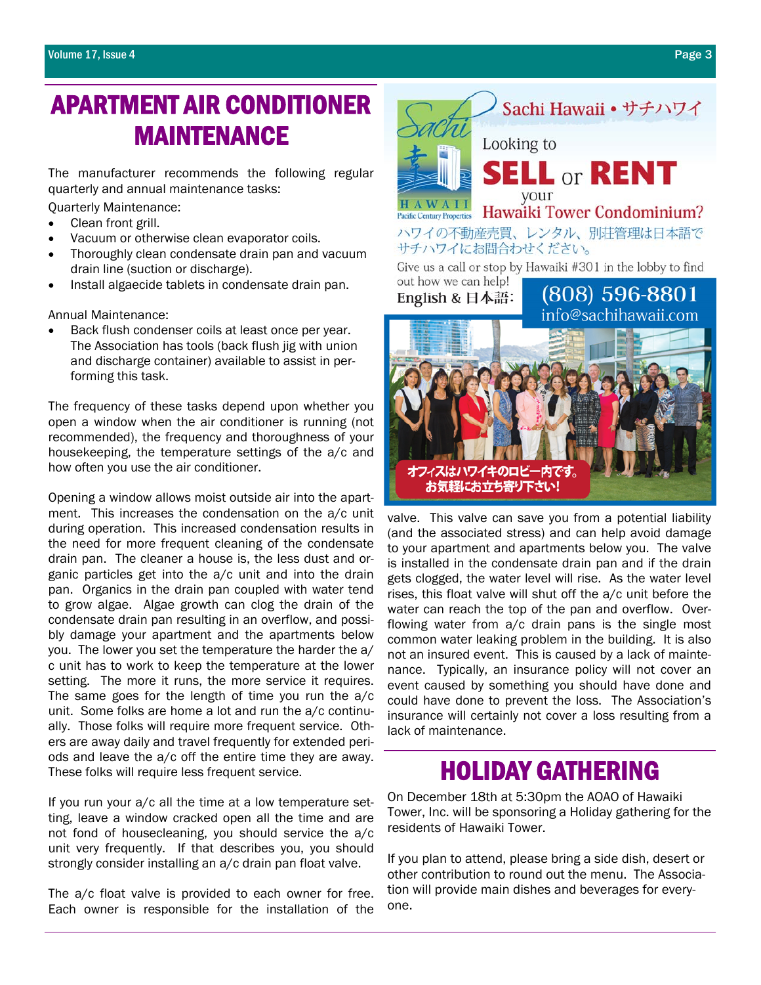## APARTMENT AIR CONDITIONER MAINTENANCE

The manufacturer recommends the following regular quarterly and annual maintenance tasks:

Quarterly Maintenance:

- Clean front grill.
- Vacuum or otherwise clean evaporator coils.
- Thoroughly clean condensate drain pan and vacuum drain line (suction or discharge).
- Install algaecide tablets in condensate drain pan.

Annual Maintenance:

Back flush condenser coils at least once per year. The Association has tools (back flush jig with union and discharge container) available to assist in performing this task.

The frequency of these tasks depend upon whether you open a window when the air conditioner is running (not recommended), the frequency and thoroughness of your housekeeping, the temperature settings of the a/c and how often you use the air conditioner.

Opening a window allows moist outside air into the apartment. This increases the condensation on the a/c unit during operation. This increased condensation results in the need for more frequent cleaning of the condensate drain pan. The cleaner a house is, the less dust and organic particles get into the a/c unit and into the drain pan. Organics in the drain pan coupled with water tend to grow algae. Algae growth can clog the drain of the condensate drain pan resulting in an overflow, and possibly damage your apartment and the apartments below you. The lower you set the temperature the harder the a/ c unit has to work to keep the temperature at the lower setting. The more it runs, the more service it requires. The same goes for the length of time you run the a/c unit. Some folks are home a lot and run the a/c continually. Those folks will require more frequent service. Others are away daily and travel frequently for extended periods and leave the a/c off the entire time they are away. These folks will require less frequent service.

If you run your a/c all the time at a low temperature setting, leave a window cracked open all the time and are not fond of housecleaning, you should service the a/c unit very frequently. If that describes you, you should strongly consider installing an a/c drain pan float valve.

The a/c float valve is provided to each owner for free. Each owner is responsible for the installation of the



valve. This valve can save you from a potential liability (and the associated stress) and can help avoid damage to your apartment and apartments below you. The valve is installed in the condensate drain pan and if the drain gets clogged, the water level will rise. As the water level rises, this float valve will shut off the a/c unit before the water can reach the top of the pan and overflow. Overflowing water from a/c drain pans is the single most common water leaking problem in the building. It is also not an insured event. This is caused by a lack of maintenance. Typically, an insurance policy will not cover an event caused by something you should have done and could have done to prevent the loss. The Association's insurance will certainly not cover a loss resulting from a lack of maintenance.

お気軽にお立ち寄り下さい!

# **HOLIDAY GATHERING**<br>On December 18th at 5:30pm the AOAO of Hawaiki

Tower, Inc. will be sponsoring a Holiday gathering for the residents of Hawaiki Tower.

If you plan to attend, please bring a side dish, desert or other contribution to round out the menu. The Association will provide main dishes and beverages for everyone.